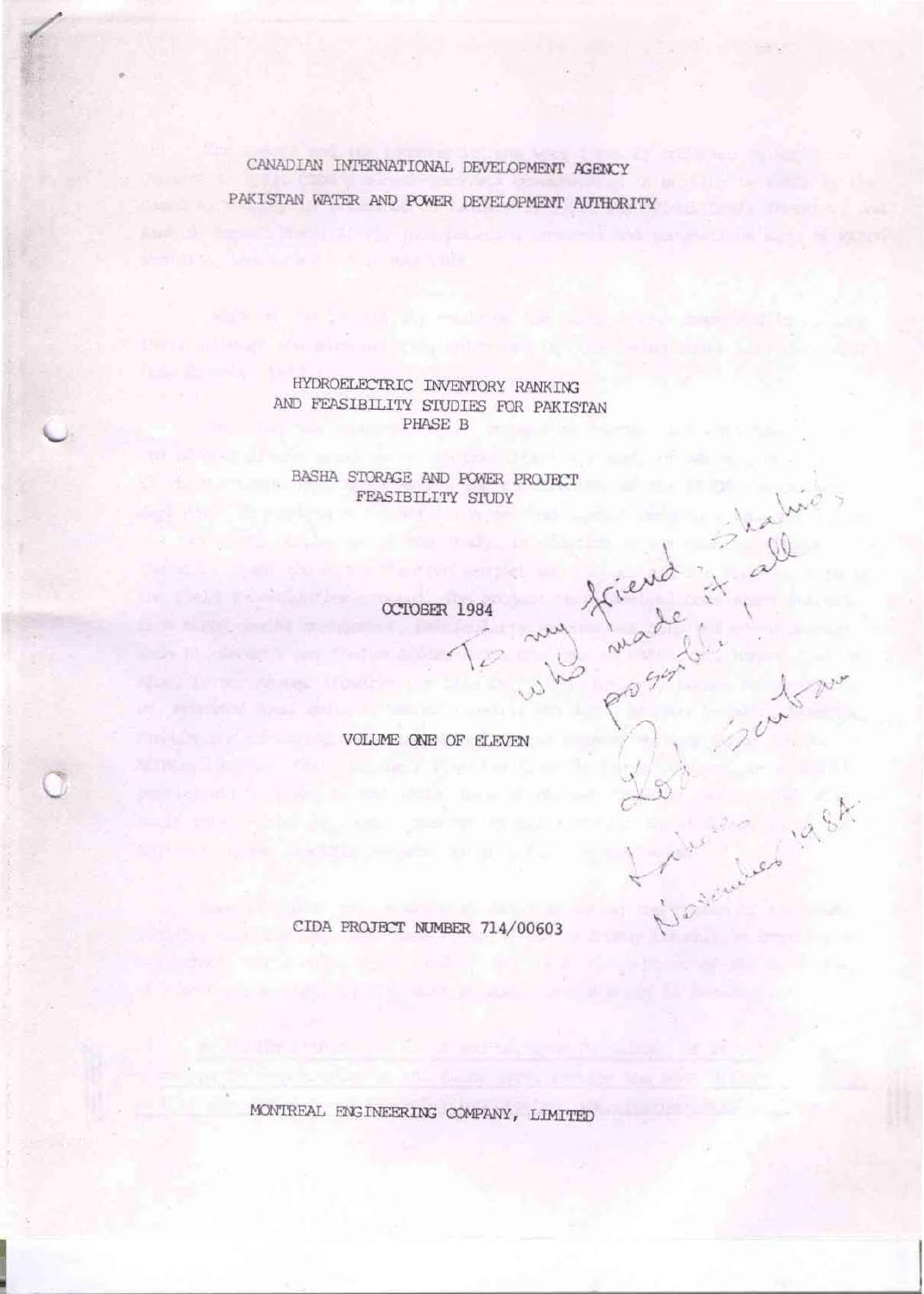CANADIAN INTERNATIONAL DEVELOPMENT AGENCY PAKISTAN WATER AND POWER DEVELOPMENT AUTHORITY

> HYDROELECTRIC INVENTORY RANKING AND FEASIBILITY STUDIES FOR PAKISTAN PHASE B

BASHA STORAGE AND POWER PROJECT FEASIBILITY STUDY

OCTOBER 1984

my

triend it

sember 1984

VOLUME ONE OF ELEVEN

CIDA PROJECT NUMBER 714/00603

MONTREAL ENGINEERING COMPANY, LIMITED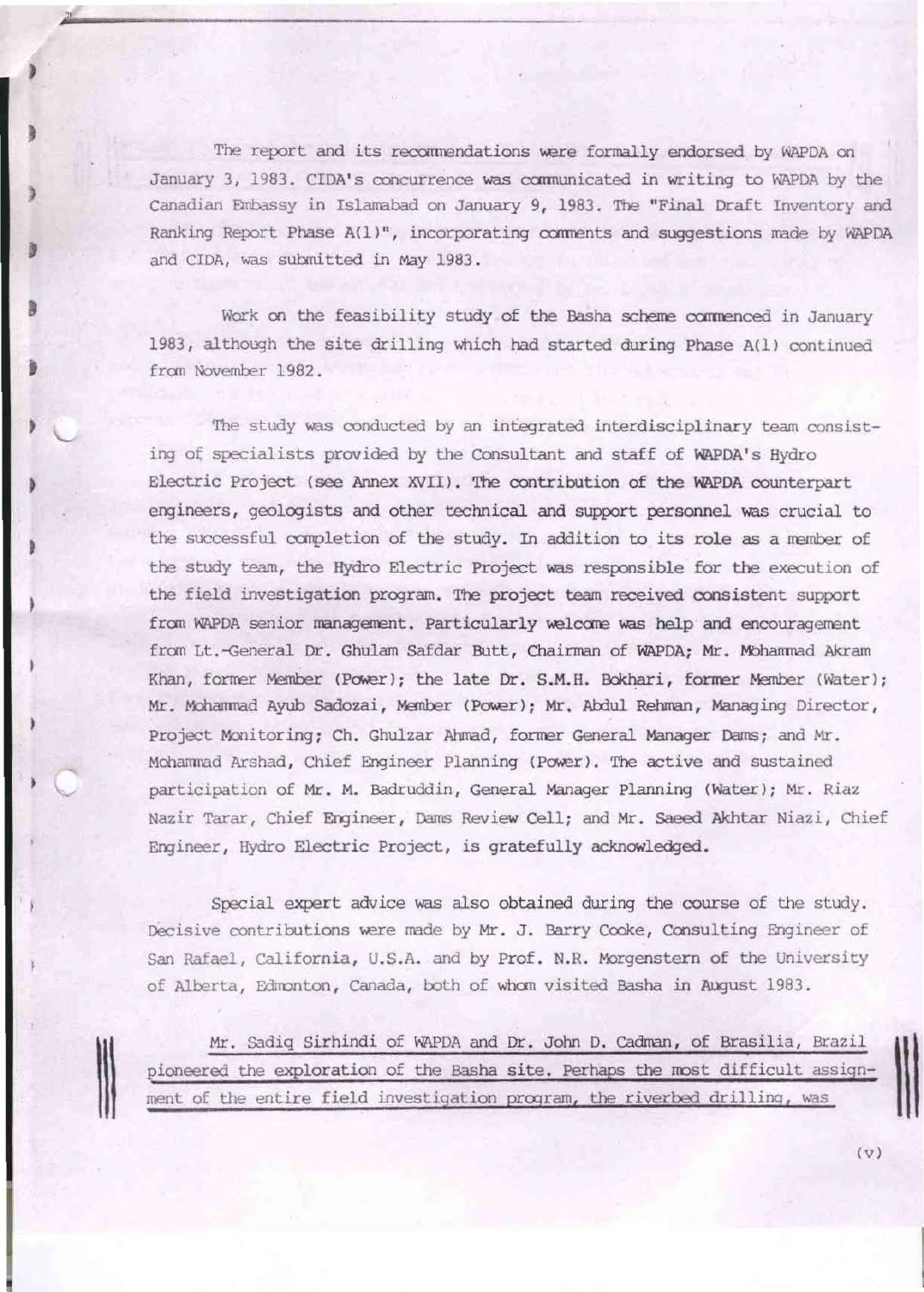The report and its recommendations were formally endorsed by WAPDA on January 3, 1983. CIDA's concurrence was communicated in writing to WAPDA by the Canadian Embassy in Islamabad on January 9, 1983. The "Final Draft Inventory and Ranking Report Phase A(1)", incorporating comments and suggestions made by WAPDA and CIDA, was submitted in May 1983 .

Work on the feasibility study of the Basha scheme commenced in January 1983, although the site drilling which had started during Phase A(l) continued from November 1982.

J

t

Ill

The study was conducted by an integrated interdisciplinary team consisting of specialists provided by the Consultant and staff of WAPDA's Hydro Electric Project (see Annex XVII). The contribution of the WAPDA counterpart engineers, geologists and other technical and support personnel was crucial to the successful completion of the study. In addition to its role as a member of the study team, the Hydro Electric Project was responsible for the execution of the field investigation program. The project team received consistent support from WAPDA senior management. Particularly welcome was help and encouragement from Lt.-General Dr. Ghulam Safdar Butt, Chairman of WAPDA; Mr. Mohammad Akram Khan, former Member (Power); the late Dr. S.M. H. Bokhari, former Member (Water); Mr. Mohammad Ayub Sadozai, Member (Power); Mr. Abdul Rehman, Managing Director, Project Monitoring; Ch. Ghulzar Ahmad, former General Manager Dams; and Mr. Mohammad Arshad, Chief Engineer Planning (Power). The active and sustained participation of Mr. M. Badruddin, General Manager Planning (water); Mr. Riaz Nazir Tarar, Chief Engineer, Dams Review Cell; and Mr. Saeed Akhtar Niazi, Chief Engineer, Hydro Electric Project, is gratefully acknowledged.

*Special* expert *advice* was also obtained during the course of the study. Decisive contributions were made by Mr. J. Barry Cooke, Consulting Engineer of San Rafael, California, U.S.A. and by Prof. N.R. Morgenstern of the University of Alberta, Edmonton, Canada, both of whom visited Basha in August 1983.

Mr. Sadiq Sirhindi of WAPDA and Dr. John D. Cadman, of Brasilia, Brazil pioneered the exploration of the Basha site. Perhaps the most difficult assignment of the entire field investigation program, the riverbed drilling, was

 $\mathbf{1}$